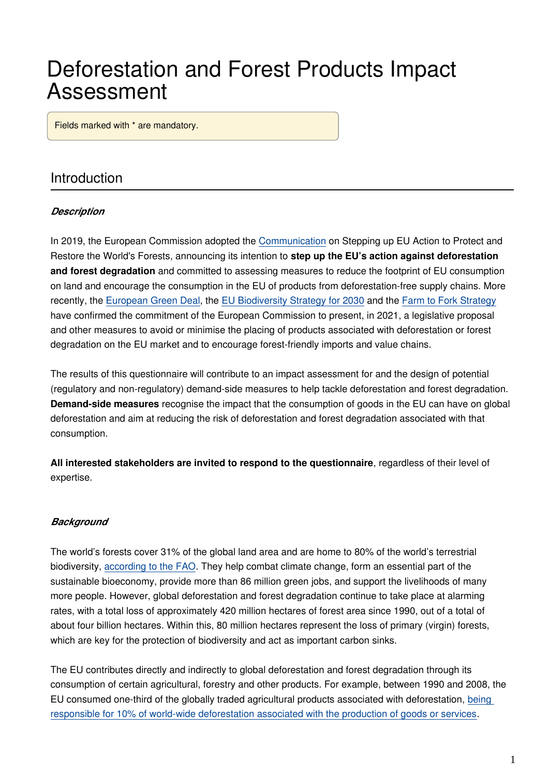# Deforestation and Forest Products Impact Assessment

Fields marked with \* are mandatory.

### Introduction

#### *Description*

In 2019, the European Commission adopted the [Communication](https://ec.europa.eu/environment/forests/eu_comm_2019.htm) on Stepping up EU Action to Protect and Restore the World's Forests, announcing its intention to **step up the EU's action against deforestation and forest degradation** and committed to assessing measures to reduce the footprint of EU consumption on land and encourage the consumption in the EU of products from deforestation-free supply chains. More recently, the [European Green Deal](https://ec.europa.eu/info/strategy/priorities-2019-2024/european-green-deal_en), the [EU Biodiversity Strategy for 2030](https://eur-lex.europa.eu/legal-content/EN/TXT/?qid=1590574123338&uri=CELEX:52020DC0380) and the [Farm to Fork Strategy](https://eur-lex.europa.eu/legal-content/EN/TXT/?uri=CELEX:52020DC0381) have confirmed the commitment of the European Commission to present, in 2021, a legislative proposal and other measures to avoid or minimise the placing of products associated with deforestation or forest degradation on the EU market and to encourage forest-friendly imports and value chains.

The results of this questionnaire will contribute to an impact assessment for and the design of potential (regulatory and non-regulatory) demand-side measures to help tackle deforestation and forest degradation. **Demand-side measures** recognise the impact that the consumption of goods in the EU can have on global deforestation and aim at reducing the risk of deforestation and forest degradation associated with that consumption.

**All interested stakeholders are invited to respond to the questionnaire**, regardless of their level of expertise.

#### *Background*

The world's forests cover 31% of the global land area and are home to 80% of the world's terrestrial biodiversity, [according to the FAO](http://www.fao.org/3/ca8642en/CA8642EN.pdf). They help combat climate change, form an essential part of the sustainable bioeconomy, provide more than 86 million green jobs, and support the livelihoods of many more people. However, global deforestation and forest degradation continue to take place at alarming rates, with a total loss of approximately 420 million hectares of forest area since 1990, out of a total of about four billion hectares. Within this, 80 million hectares represent the loss of primary (virgin) forests, which are key for the protection of biodiversity and act as important carbon sinks.

The EU contributes directly and indirectly to global deforestation and forest degradation through its consumption of certain agricultural, forestry and other products. For example, between 1990 and 2008, the EU consumed one-third of the globally traded agricultural products associated with deforestation, [being](https://ec.europa.eu/environment/forests/impact_deforestation.htm)  [responsible for 10% of world-wide deforestation associated with the production of goods or services](https://ec.europa.eu/environment/forests/impact_deforestation.htm).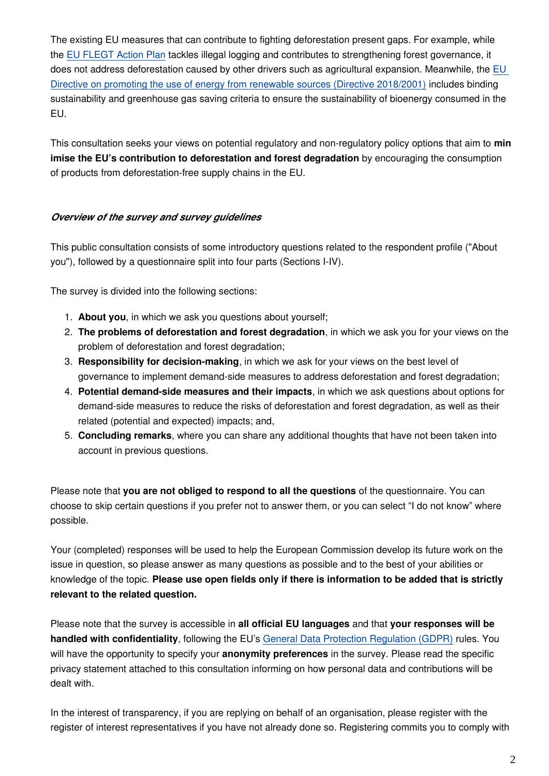The existing EU measures that can contribute to fighting deforestation present gaps. For example, while the [EU FLEGT Action Plan](https://ec.europa.eu/environment/forests/illegal_logging.htm) tackles illegal logging and contributes to strengthening forest governance, it does not address deforestation caused by other drivers such as agricultural expansion. Meanwhile, the [EU](https://eur-lex.europa.eu/legal-content/EN/TXT/?uri=uriserv:OJ.L_.2018.328.01.0082.01.ENG&toc=OJ:L:2018:328:TOC)  [Directive on promoting the use of energy from renewable sources \(Directive 2018/2001\)](https://eur-lex.europa.eu/legal-content/EN/TXT/?uri=uriserv:OJ.L_.2018.328.01.0082.01.ENG&toc=OJ:L:2018:328:TOC) includes binding sustainability and greenhouse gas saving criteria to ensure the sustainability of bioenergy consumed in the EU.

This consultation seeks your views on potential regulatory and non-regulatory policy options that aim to **min imise the EU's contribution to deforestation and forest degradation** by encouraging the consumption of products from deforestation-free supply chains in the EU.

#### *Overview of the survey and survey guidelines*

This public consultation consists of some introductory questions related to the respondent profile ("About you"), followed by a questionnaire split into four parts (Sections I-IV).

The survey is divided into the following sections:

- 1. **About you**, in which we ask you questions about yourself;
- 2. **The problems of deforestation and forest degradation**, in which we ask you for your views on the problem of deforestation and forest degradation;
- 3. **Responsibility for decision-making**, in which we ask for your views on the best level of governance to implement demand-side measures to address deforestation and forest degradation;
- 4. **Potential demand-side measures and their impacts**, in which we ask questions about options for demand-side measures to reduce the risks of deforestation and forest degradation, as well as their related (potential and expected) impacts; and,
- 5. **Concluding remarks**, where you can share any additional thoughts that have not been taken into account in previous questions.

Please note that **you are not obliged to respond to all the questions** of the questionnaire. You can choose to skip certain questions if you prefer not to answer them, or you can select "I do not know" where possible.

Your (completed) responses will be used to help the European Commission develop its future work on the issue in question, so please answer as many questions as possible and to the best of your abilities or knowledge of the topic. **Please use open fields only if there is information to be added that is strictly relevant to the related question.**

Please note that the survey is accessible in **all official EU languages** and that **your responses will be handled with confidentiality**, following the EU's [General Data Protection Regulation \(GDPR\)](https://ec.europa.eu/info/law/law-topic/data-protection/eu-data-protection-rules_en) rules. You will have the opportunity to specify your **anonymity preferences** in the survey. Please read the specific privacy statement attached to this consultation informing on how personal data and contributions will be dealt with.

In the interest of transparency, if you are replying on behalf of an organisation, please register with the register of interest representatives if you have not already done so. Registering commits you to comply with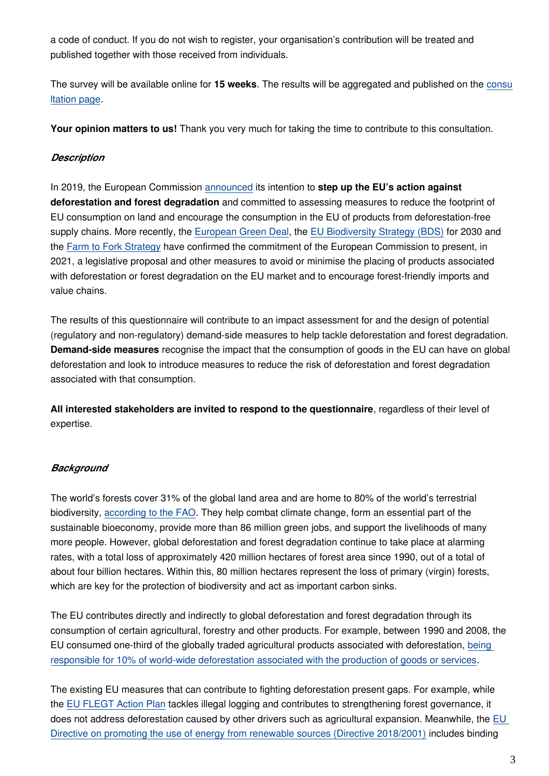a code of conduct. If you do not wish to register, your organisation's contribution will be treated and published together with those received from individuals.

The survey will be available online for **15 weeks**. The results will be aggregated and published on the [consu](https://ec.europa.eu/info/law/better-regulation/have-your-say/initiatives/12137-Minimising-the-risk-of-deforestation-and-forest-degradation-associated-with-products-placed-on-the-EU-market) [ltation page](https://ec.europa.eu/info/law/better-regulation/have-your-say/initiatives/12137-Minimising-the-risk-of-deforestation-and-forest-degradation-associated-with-products-placed-on-the-EU-market).

**Your opinion matters to us!** Thank you very much for taking the time to contribute to this consultation.

#### *Description*

In 2019, the European Commission [announced](https://ec.europa.eu/environment/forests/eu_comm_2019.htm) its intention to **step up the EU's action against deforestation and forest degradation** and committed to assessing measures to reduce the footprint of EU consumption on land and encourage the consumption in the EU of products from deforestation-free supply chains. More recently, the [European Green Deal](https://ec.europa.eu/info/strategy/priorities-2019-2024/european-green-deal_en), the [EU Biodiversity Strategy \(BDS\)](https://eur-lex.europa.eu/legal-content/EN/TXT/?qid=1590574123338&uri=CELEX:52020DC0380) for 2030 and the [Farm to Fork Strategy](https://eur-lex.europa.eu/legal-content/EN/TXT/?uri=CELEX:52020DC0381) have confirmed the commitment of the European Commission to present, in 2021, a legislative proposal and other measures to avoid or minimise the placing of products associated with deforestation or forest degradation on the EU market and to encourage forest-friendly imports and value chains.

The results of this questionnaire will contribute to an impact assessment for and the design of potential (regulatory and non-regulatory) demand-side measures to help tackle deforestation and forest degradation. **Demand-side measures** recognise the impact that the consumption of goods in the EU can have on global deforestation and look to introduce measures to reduce the risk of deforestation and forest degradation associated with that consumption.

**All interested stakeholders are invited to respond to the questionnaire**, regardless of their level of expertise.

#### *Background*

The world's forests cover 31% of the global land area and are home to 80% of the world's terrestrial biodiversity, [according to the FAO](http://www.fao.org/3/ca8642en/CA8642EN.pdf). They help combat climate change, form an essential part of the sustainable bioeconomy, provide more than 86 million green jobs, and support the livelihoods of many more people. However, global deforestation and forest degradation continue to take place at alarming rates, with a total loss of approximately 420 million hectares of forest area since 1990, out of a total of about four billion hectares. Within this, 80 million hectares represent the loss of primary (virgin) forests, which are key for the protection of biodiversity and act as important carbon sinks.

The EU contributes directly and indirectly to global deforestation and forest degradation through its consumption of certain agricultural, forestry and other products. For example, between 1990 and 2008, the EU consumed one-third of the globally traded agricultural products associated with deforestation, [being](https://ec.europa.eu/environment/forests/impact_deforestation.htmvvv)  [responsible for 10% of world-wide deforestation associated with the production of goods or services](https://ec.europa.eu/environment/forests/impact_deforestation.htmvvv).

The existing EU measures that can contribute to fighting deforestation present gaps. For example, while the [EU FLEGT Action Plan](http://www.euflegt.efi.int/flegt-action-plan) tackles illegal logging and contributes to strengthening forest governance, it does not address deforestation caused by other drivers such as agricultural expansion. Meanwhile, the EU [Directive on promoting the use of energy from renewable sources \(Directive 2018/2001\)](https://eur-lex.europa.eu/legal-content/EN/TXT/?uri=uriserv:OJ.L_.2018.328.01.0082.01.ENG&toc=OJ:L:2018:328:TOC) includes binding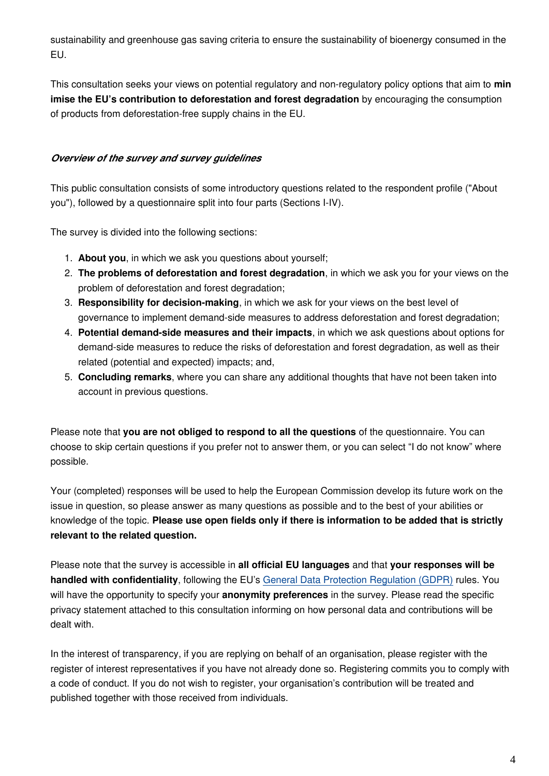sustainability and greenhouse gas saving criteria to ensure the sustainability of bioenergy consumed in the EU.

This consultation seeks your views on potential regulatory and non-regulatory policy options that aim to **min imise the EU's contribution to deforestation and forest degradation** by encouraging the consumption of products from deforestation-free supply chains in the EU.

#### *Overview of the survey and survey guidelines*

This public consultation consists of some introductory questions related to the respondent profile ("About you"), followed by a questionnaire split into four parts (Sections I-IV).

The survey is divided into the following sections:

- 1. **About you**, in which we ask you questions about yourself;
- 2. **The problems of deforestation and forest degradation**, in which we ask you for your views on the problem of deforestation and forest degradation;
- 3. **Responsibility for decision-making**, in which we ask for your views on the best level of governance to implement demand-side measures to address deforestation and forest degradation;
- 4. **Potential demand-side measures and their impacts**, in which we ask questions about options for demand-side measures to reduce the risks of deforestation and forest degradation, as well as their related (potential and expected) impacts; and,
- 5. **Concluding remarks**, where you can share any additional thoughts that have not been taken into account in previous questions.

Please note that **you are not obliged to respond to all the questions** of the questionnaire. You can choose to skip certain questions if you prefer not to answer them, or you can select "I do not know" where possible.

Your (completed) responses will be used to help the European Commission develop its future work on the issue in question, so please answer as many questions as possible and to the best of your abilities or knowledge of the topic. **Please use open fields only if there is information to be added that is strictly relevant to the related question.**

Please note that the survey is accessible in **all official EU languages** and that **your responses will be handled with confidentiality**, following the EU's [General Data Protection Regulation \(GDPR\)](https://ec.europa.eu/info/law/law-topic/data-protection/eu-data-protection-rules_en) rules. You will have the opportunity to specify your **anonymity preferences** in the survey. Please read the specific privacy statement attached to this consultation informing on how personal data and contributions will be dealt with.

In the interest of transparency, if you are replying on behalf of an organisation, please register with the register of interest representatives if you have not already done so. Registering commits you to comply with a code of conduct. If you do not wish to register, your organisation's contribution will be treated and published together with those received from individuals.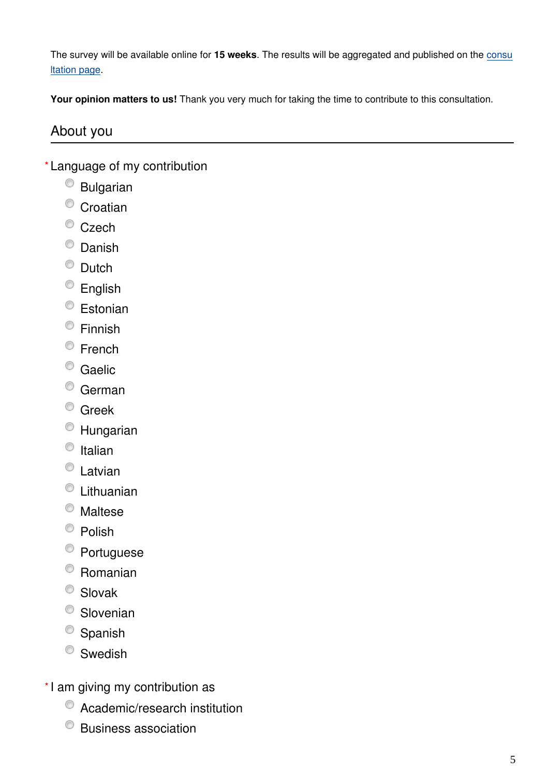The survey will be available online for **15 weeks**. The results will be aggregated and published on the [consu](https://ec.europa.eu/info/law/better-regulation/have-your-say/initiatives/12137-Minimising-the-risk-of-deforestation-and-forest-degradation-associated-with-products-placed-on-the-EU-market) [ltation page](https://ec.europa.eu/info/law/better-regulation/have-your-say/initiatives/12137-Minimising-the-risk-of-deforestation-and-forest-degradation-associated-with-products-placed-on-the-EU-market).

**Your opinion matters to us!** Thank you very much for taking the time to contribute to this consultation.

### About you

- Language of my contribution **\***
	- Bulgarian
	- $\circ$  Croatian
	- $\bullet$  Czech
	- $^{\circ}$  Danish
	- C Dutch
	- <sup>©</sup> English
	- <sup>©</sup> Estonian
	- Finnish
	- <sup>©</sup> French
	- Caelic
	- <sup>O</sup> German
	- <sup>O</sup> Greek
	- Hungarian
	- $\bullet$  Italian
	- C Latvian
	- Lithuanian
	- Maltese
	- $\bullet$  Polish
	- <sup>©</sup> Portuguese
	- $\circ$  Romanian
	- C Slovak
	- <sup>O</sup> Slovenian
	- <sup>O</sup> Spanish
	- <sup>©</sup> Swedish
- \*I am giving my contribution as
	- $\bullet$  Academic/research institution
	- Business association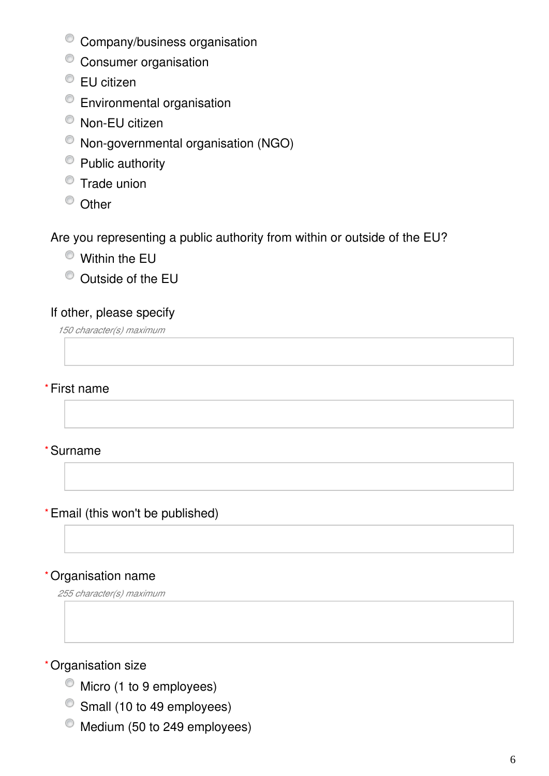- Company/business organisation
- <sup>O</sup> Consumer organisation
- <sup>●</sup> EU citizen
- Environmental organisation
- Non-EU citizen
- Non-governmental organisation (NGO)
- Public authority
- $\bullet$  Trade union
- <sup>O</sup> Other

## Are you representing a public authority from within or outside of the EU?

- Within the EU
- Outside of the EU

## If other, please specify

*150 character(s) maximum*

#### First name **\***

#### Surname **\***

#### Email (this won't be published) **\***

#### Organisation name **\***

*255 character(s) maximum*

#### Organisation size **\***

- $\bullet$  Micro (1 to 9 employees)
- Small (10 to 49 employees)
- Medium (50 to 249 employees)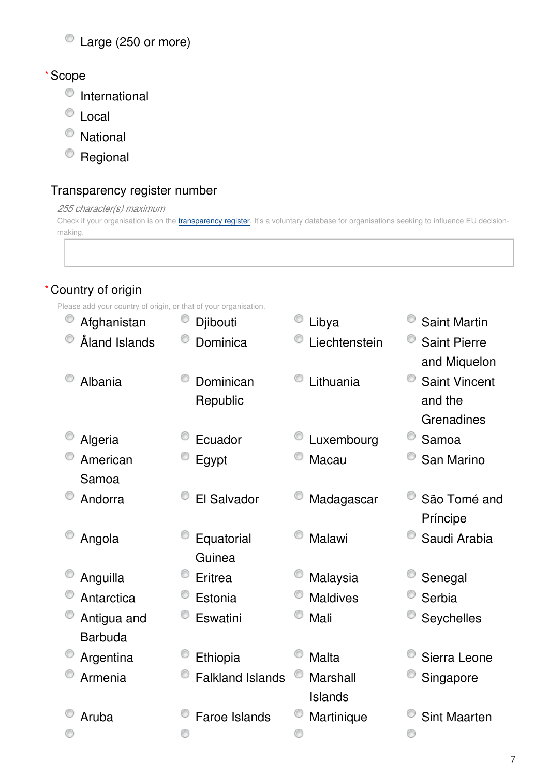# Large (250 or more)

#### Scope **\***

- $\bullet$  International
- Local
- National
- <sup>o</sup> Regional

## Transparency register number

#### *255 character(s) maximum*

Check if your organisation is on the *[transparency register](http://ec.europa.eu/transparencyregister/public/homePage.do?redir=false&locale=en)*. It's a voluntary database for organisations seeking to influence EU decisionmaking.

## Country of origin **\***

Please add your country of origin, or that of your organisation.

| Afghanistan                   | O<br>Djibouti           | Libya               | <b>Saint Martin</b>                           |
|-------------------------------|-------------------------|---------------------|-----------------------------------------------|
| Åland Islands                 | Dominica                | Liechtenstein       | <b>Saint Pierre</b><br>and Miquelon           |
| Albania                       | Dominican<br>Republic   | Lithuania           | <b>Saint Vincent</b><br>and the<br>Grenadines |
| Algeria                       | Ecuador                 | Luxembourg          | Samoa                                         |
| American<br>Samoa             | Egypt                   | Macau               | San Marino                                    |
| Andorra                       | El Salvador             | Madagascar          | São Tomé and<br>Príncipe                      |
| Angola                        | Equatorial<br>Guinea    | Malawi              | Saudi Arabia                                  |
| Anguilla                      | Eritrea                 | Malaysia            | Senegal                                       |
| Antarctica                    | Estonia                 | <b>Maldives</b>     | Serbia                                        |
| Antigua and<br><b>Barbuda</b> | Eswatini                | Mali                | Seychelles                                    |
| Argentina                     | Ethiopia                | <b>Malta</b>        | Sierra Leone                                  |
| Armenia                       | <b>Falkland Islands</b> | Marshall<br>Islands | Singapore                                     |
| Aruba                         | Faroe Islands           | Martinique          | <b>Sint Maarten</b>                           |
|                               |                         |                     |                                               |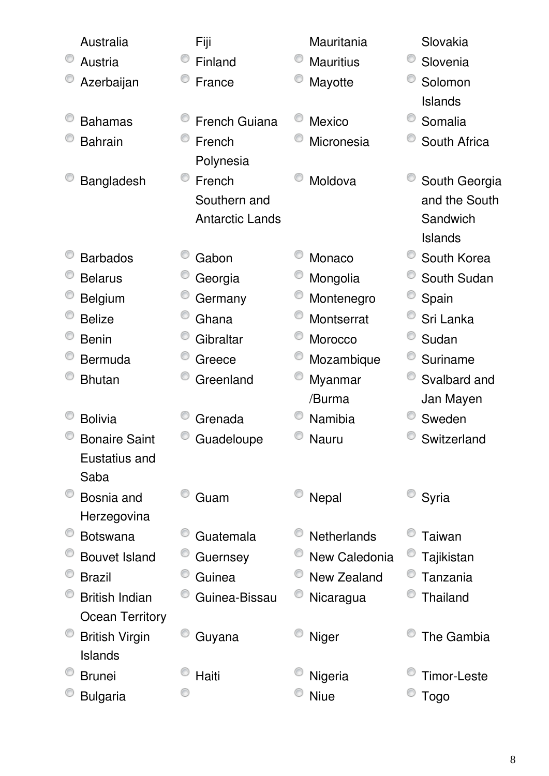| Australia              | Fiji                   | Mauritania       | Slovakia           |
|------------------------|------------------------|------------------|--------------------|
| Austria                | Finland                | <b>Mauritius</b> | O<br>Slovenia      |
| Azerbaijan             | France                 | Mayotte          | Solomon            |
|                        |                        |                  | Islands            |
| <b>Bahamas</b>         | <b>French Guiana</b>   | <b>Mexico</b>    | Somalia            |
| <b>Bahrain</b>         | French                 | Micronesia       | South Africa       |
|                        | Polynesia              |                  |                    |
| Bangladesh             | O<br>French            | Moldova          | South Georgia      |
|                        | Southern and           |                  | and the South      |
|                        | <b>Antarctic Lands</b> |                  | Sandwich           |
|                        |                        |                  | <b>Islands</b>     |
| <b>Barbados</b>        | Gabon                  | Monaco           | South Korea        |
| <b>Belarus</b>         | Georgia                | Mongolia         | South Sudan        |
| <b>Belgium</b>         | Germany                | Montenegro       | Spain              |
| <b>Belize</b>          | Ghana                  | Montserrat       | Sri Lanka          |
| <b>Benin</b>           | Gibraltar              | Morocco          | Sudan              |
| <b>Bermuda</b>         | Greece                 | Mozambique       | Suriname           |
| <b>Bhutan</b>          | Greenland              | Myanmar          | Svalbard and       |
|                        |                        | /Burma           | Jan Mayen          |
| <b>Bolivia</b>         | Grenada                | Namibia          | Sweden             |
| <b>Bonaire Saint</b>   | Guadeloupe             | Nauru            | Switzerland        |
| Eustatius and          |                        |                  |                    |
| Saba                   |                        |                  |                    |
| Bosnia and             | Guam                   | Nepal            | Syria              |
| Herzegovina            |                        |                  |                    |
| <b>Botswana</b>        | Guatemala              | Netherlands      | Taiwan             |
| <b>Bouvet Island</b>   | Guernsey               | New Caledonia    | Tajikistan         |
| <b>Brazil</b>          | Guinea                 | New Zealand      | Tanzania           |
| <b>British Indian</b>  | Guinea-Bissau          | Nicaragua        | <b>Thailand</b>    |
| <b>Ocean Territory</b> |                        |                  |                    |
| <b>British Virgin</b>  | Guyana                 | <b>Niger</b>     | The Gambia         |
| Islands                |                        |                  |                    |
| <b>Brunei</b>          | Haiti                  | Nigeria          | <b>Timor-Leste</b> |
| <b>Bulgaria</b>        |                        | <b>Niue</b>      | Togo               |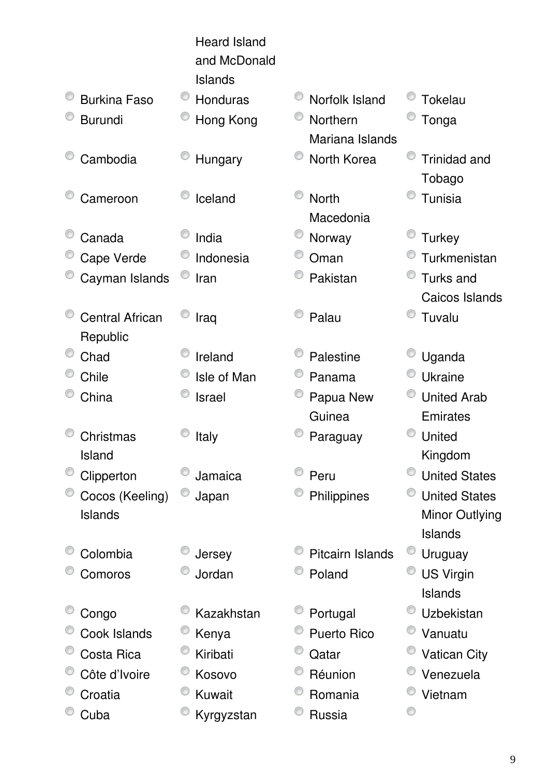|                                    | <b>Heard Island</b><br>and McDonald<br><b>Islands</b> |                             |                               |
|------------------------------------|-------------------------------------------------------|-----------------------------|-------------------------------|
| <b>Burkina Faso</b>                | Honduras                                              | Norfolk Island              | Tokelau                       |
| <b>Burundi</b>                     | Hong Kong                                             | Northern<br>Mariana Islands | Tonga                         |
| Cambodia                           | Hungary                                               | North Korea                 | <b>Trinidad and</b><br>Tobago |
| Cameroon                           | Iceland                                               | <b>North</b><br>Macedonia   | Tunisia                       |
| Canada                             | India                                                 | Norway                      | <b>Turkey</b>                 |
| Cape Verde                         | Indonesia                                             | Oman                        | Turkmenistan                  |
| Cayman Islands                     | Iran                                                  | Pakistan                    | Turks and                     |
|                                    |                                                       |                             | Caicos Islands                |
| <b>Central African</b><br>Republic | Iraq                                                  | Palau                       | Tuvalu                        |
| Chad                               | Ireland                                               | Palestine                   | Uganda                        |
| Chile                              | Isle of Man                                           | Panama                      | <b>Ukraine</b>                |
| China                              | <b>Israel</b>                                         | Papua New                   | <b>United Arab</b>            |
|                                    |                                                       | Guinea                      | Emirates                      |
| Christmas<br>Island                | <b>Italy</b>                                          | Paraguay                    | United<br>Kingdom             |
| Clipperton                         | Jamaica                                               | Peru                        | <b>United States</b>          |
| Cocos (Keeling)                    | Japan                                                 | Philippines                 | <b>United States</b>          |
| Islands                            |                                                       |                             | <b>Minor Outlying</b>         |
|                                    |                                                       |                             | Islands                       |
| Colombia                           | Jersey                                                | Pitcairn Islands            | Uruguay                       |
| Comoros                            | Jordan                                                | Poland                      | <b>US Virgin</b>              |
|                                    |                                                       |                             | Islands                       |
| Congo                              | Kazakhstan                                            | Portugal                    | Uzbekistan                    |
| Cook Islands                       | Kenya                                                 | <b>Puerto Rico</b>          | Vanuatu                       |
| Costa Rica                         | Kiribati                                              | Qatar                       | <b>Vatican City</b>           |
| Côte d'Ivoire                      | Kosovo                                                | Réunion                     | Venezuela                     |
| Croatia                            | Kuwait                                                | Romania                     | Vietnam                       |
| Cuba                               | Kyrgyzstan                                            | Russia                      |                               |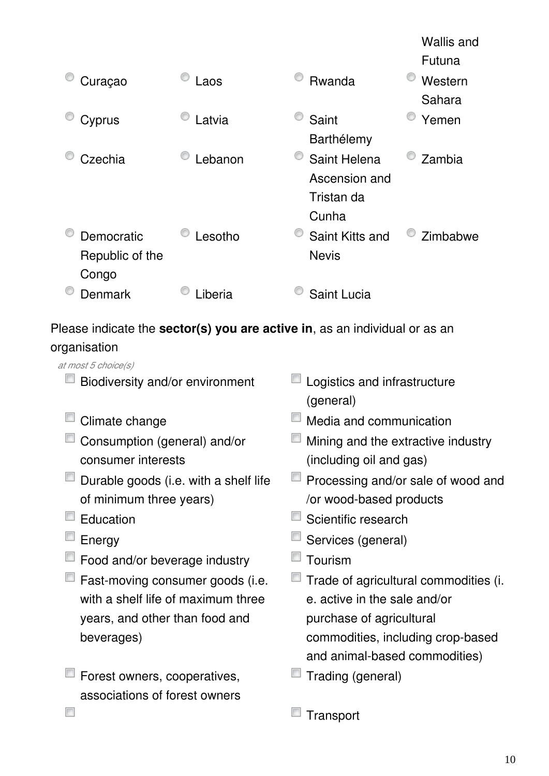|                 |         |                 | <u>vvallis allu</u> |
|-----------------|---------|-----------------|---------------------|
|                 |         |                 | Futuna              |
| Curaçao         | Laos    | Rwanda          | Western             |
|                 |         |                 | Sahara              |
| Cyprus          | Latvia  | Saint           | Yemen               |
|                 |         | Barthélemy      |                     |
| Czechia         | Lebanon | Saint Helena    | Zambia              |
|                 |         | Ascension and   |                     |
|                 |         | Tristan da      |                     |
|                 |         | Cunha           |                     |
| Democratic      | Lesotho | Saint Kitts and | Zimbabwe            |
| Republic of the |         | <b>Nevis</b>    |                     |
| Congo           |         |                 |                     |
| Denmark         | .iberia | Saint Lucia     |                     |
|                 |         |                 |                     |

Please indicate the **sector(s) you are active in**, as an individual or as an

## organisation

 $\overline{\phantom{a}}$ 

| ıyunounon                             |                       |
|---------------------------------------|-----------------------|
| at most 5 choice(s)                   |                       |
| Biodiversity and/or environment       | Logistics and infra   |
|                                       | (general)             |
| Climate change                        | Media and commu       |
| Consumption (general) and/or          | Mining and the ext    |
| consumer interests                    | (including oil and g  |
| Durable goods (i.e. with a shelf life | Processing and/or     |
| of minimum three years)               | /or wood-based pr     |
| Education                             | Scientific research   |
| Energy                                | Services (general)    |
| Food and/or beverage industry         | Tourism               |
| Fast-moving consumer goods (i.e.      | Trade of agricultur   |
| with a shelf life of maximum three    | e. active in the sald |
| years, and other than food and        | purchase of agricu    |
| beverages)                            | commodities, inclu    |
|                                       | and animal-based      |
|                                       |                       |

**Forest owners, cooperatives,** associations of forest owners

- frastructure
- munication
- extractive industry d gas)

Wallis and

- /or sale of wood and products
- 
- 
- Itural commodities (i. sale and/or icultural cluding crop-based ed commodities)
- Trading (general)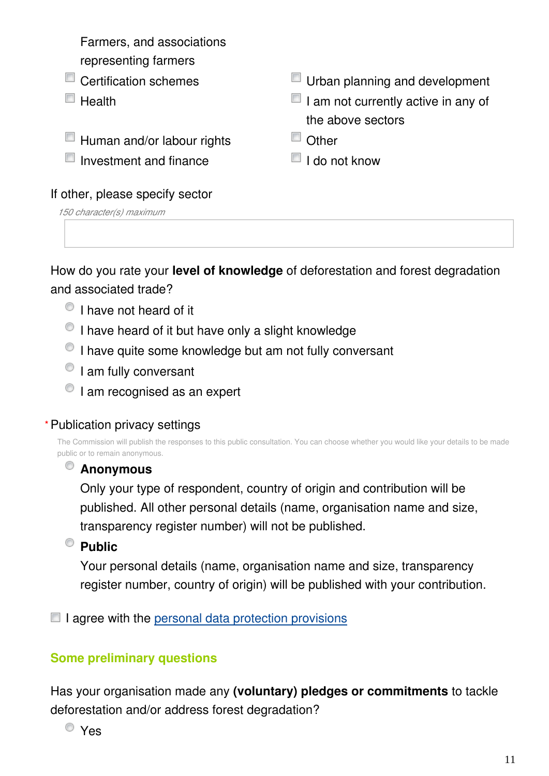Farmers, and associations representing farmers ■ Certification schemes <br>■ Urban planning and development  $\Box$  Health **I** Health I am not currently active in any of the above sectors  $\Box$  Human and/or labour rights  $\Box$  Other  $\Box$  Investment and finance  $\Box$  I do not know

#### If other, please specify sector

*150 character(s) maximum*

How do you rate your **level of knowledge** of deforestation and forest degradation and associated trade?

- $\circ$  I have not heard of it
- $\bullet$  I have heard of it but have only a slight knowledge
- $\circ$  I have quite some knowledge but am not fully conversant
- $\circ$  I am fully conversant
- $\bullet$  I am recognised as an expert

#### Publication privacy settings **\***

The Commission will publish the responses to this public consultation. You can choose whether you would like your details to be made public or to remain anonymous.

# **Anonymous**

Only your type of respondent, country of origin and contribution will be published. All other personal details (name, organisation name and size, transparency register number) will not be published.

**Public** 

Your personal details (name, organisation name and size, transparency register number, country of origin) will be published with your contribution.

 $\Box$  I agree with the [personal data protection provisions](https://ec.europa.eu/info/law/better-regulation/specific-privacy-statement_en)

#### **Some preliminary questions**

Has your organisation made any **(voluntary) pledges or commitments** to tackle deforestation and/or address forest degradation?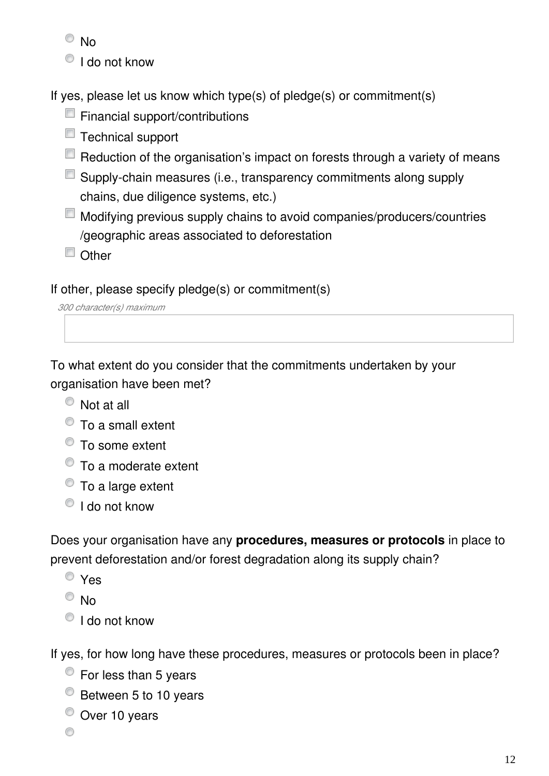- <sup>O</sup>No
- $\bigcirc$  I do not know

If yes, please let us know which type(s) of pledge(s) or commitment(s)

- $\Box$  Financial support/contributions
- $\Box$  Technical support
- $\Box$  Reduction of the organisation's impact on forests through a variety of means
- Supply-chain measures (i.e., transparency commitments along supply chains, due diligence systems, etc.)
- Modifying previous supply chains to avoid companies/producers/countries /geographic areas associated to deforestation
- Other

If other, please specify pledge(s) or commitment(s)

*300 character(s) maximum*

To what extent do you consider that the commitments undertaken by your organisation have been met?

- Not at all
- To a small extent
- $\bullet$  To some extent
- $\bullet$  To a moderate extent
- To a large extent
- $\bullet$  I do not know

Does your organisation have any **procedures, measures or protocols** in place to prevent deforestation and/or forest degradation along its supply chain?

Yes

 $\circ$  No

 $\bullet$  I do not know

If yes, for how long have these procedures, measures or protocols been in place?

- $\bullet$  For less than 5 years
- <sup>O</sup> Between 5 to 10 years
- Over 10 years

◉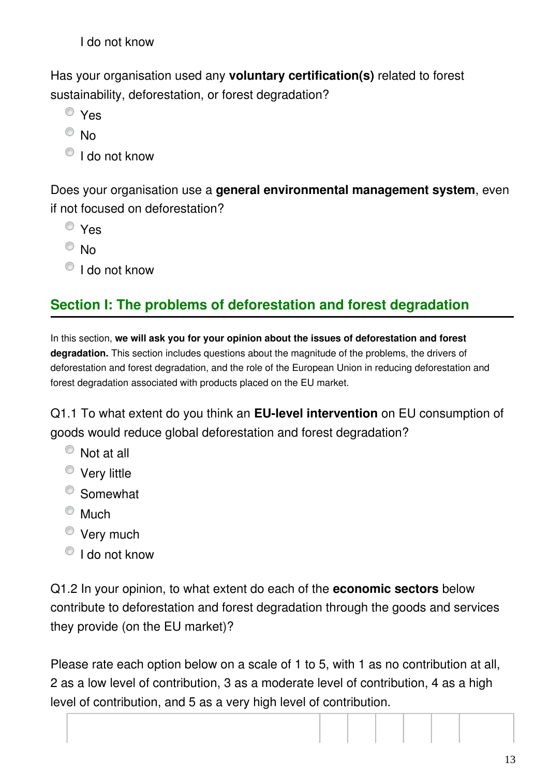I do not know

Has your organisation used any **voluntary certification(s)** related to forest sustainability, deforestation, or forest degradation?

- Yes
- $\odot$  No
- $\bigcirc$  I do not know

Does your organisation use a **general environmental management system**, even if not focused on deforestation?

- Yes
- $\odot$  No
- I do not know

# **Section I: The problems of deforestation and forest degradation**

In this section, **we will ask you for your opinion about the issues of deforestation and forest degradation.** This section includes questions about the magnitude of the problems, the drivers of deforestation and forest degradation, and the role of the European Union in reducing deforestation and forest degradation associated with products placed on the EU market.

Q1.1 To what extent do you think an **EU-level intervention** on EU consumption of goods would reduce global deforestation and forest degradation?

- Not at all
- **Very little**
- Somewhat
- $^{\circ}$  Much
- **Very much**
- $\bullet$  I do not know

Q1.2 In your opinion, to what extent do each of the **economic sectors** below contribute to deforestation and forest degradation through the goods and services they provide (on the EU market)?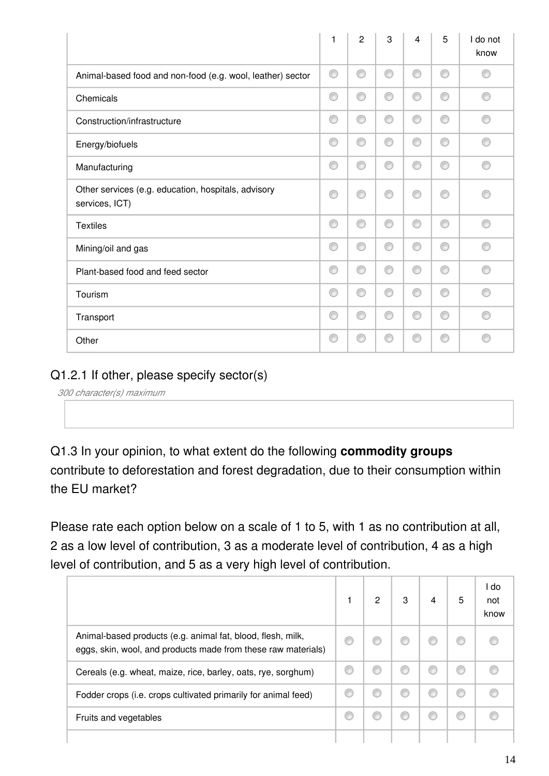|                                                                       | 1 | $\overline{2}$ | 3 | 4 | 5 | I do not<br>know |
|-----------------------------------------------------------------------|---|----------------|---|---|---|------------------|
| Animal-based food and non-food (e.g. wool, leather) sector            | ⊙ | ⊙              | ◉ | ⊙ | ◉ | €                |
| Chemicals                                                             | ⊙ | ⊙              | ⊙ | ⊙ | ⊙ | ⋒                |
| Construction/infrastructure                                           | ⊙ | ⊙              | ⊙ | ∩ | ⊙ | ⋒                |
| Energy/biofuels                                                       | ⊙ | ⊙              | ⊙ | ⊙ | ⊙ | ⋒                |
| Manufacturing                                                         | ⊙ | ⊙              | ◉ | ⊙ | ⊙ | ⋒                |
| Other services (e.g. education, hospitals, advisory<br>services, ICT) | ⊙ | ⊙              | ⊙ | ∩ | ∩ | ⋒                |
| <b>Textiles</b>                                                       | ⊙ | ⊙              | 0 | ◉ | ⊙ | ⋒                |
| Mining/oil and gas                                                    | ⊙ | ⊙              | ⊙ | ⊙ | ⊙ | ⋒                |
| Plant-based food and feed sector                                      | ⊙ | ⊙              | ⊙ | ∩ | ⊙ |                  |
| Tourism                                                               | ⊙ | ⊙              | ⊙ | ⊙ | ⊙ | ⋒                |
| Transport                                                             | ⊙ | ⊙              | ⊙ | ⊙ | ⊙ | ⋒                |
| Other                                                                 | € |                | ◎ |   | ∩ |                  |

#### Q1.2.1 If other, please specify sector(s)

*300 character(s) maximum*

Q1.3 In your opinion, to what extent do the following **commodity groups** contribute to deforestation and forest degradation, due to their consumption within the EU market?

|                                                                                                                              | 2 | 3 | 4 | 5 | I do<br>not<br>know |
|------------------------------------------------------------------------------------------------------------------------------|---|---|---|---|---------------------|
| Animal-based products (e.g. animal fat, blood, flesh, milk,<br>eggs, skin, wool, and products made from these raw materials) |   |   |   |   |                     |
| Cereals (e.g. wheat, maize, rice, barley, oats, rye, sorghum)                                                                |   |   |   | C |                     |
| Fodder crops (i.e. crops cultivated primarily for animal feed)                                                               |   | O |   | € |                     |
| Fruits and vegetables                                                                                                        |   |   |   |   |                     |
|                                                                                                                              |   |   |   |   |                     |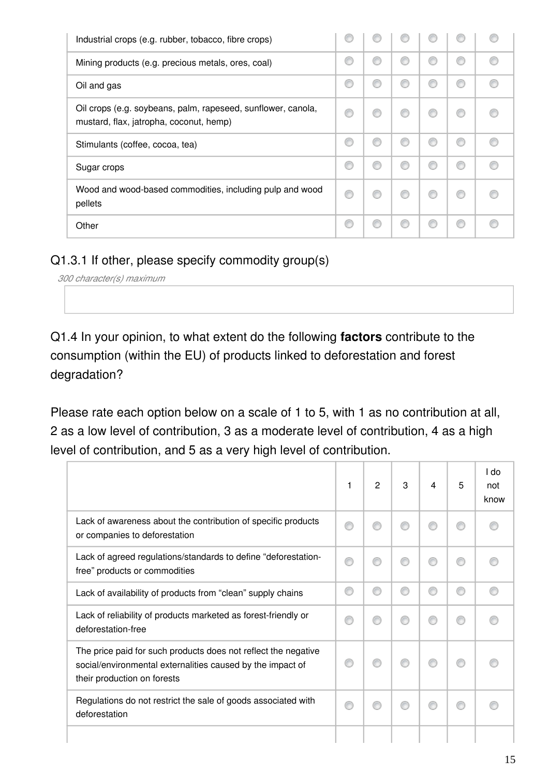| Industrial crops (e.g. rubber, tobacco, fibre crops)                                                    |   |   |   |   |   |  |
|---------------------------------------------------------------------------------------------------------|---|---|---|---|---|--|
| Mining products (e.g. precious metals, ores, coal)                                                      | € | € | € |   | € |  |
| Oil and gas                                                                                             |   | ⋒ | € |   | C |  |
| Oil crops (e.g. soybeans, palm, rapeseed, sunflower, canola,<br>mustard, flax, jatropha, coconut, hemp) | € | ⋒ | € |   | € |  |
| Stimulants (coffee, cocoa, tea)                                                                         | € | ⋒ | ⋒ | € | € |  |
| Sugar crops                                                                                             | ⋒ | ⋒ | € | € | € |  |
| Wood and wood-based commodities, including pulp and wood<br>pellets                                     | € |   |   |   | C |  |
| Other                                                                                                   |   | ⋒ | € |   | C |  |

#### Q1.3.1 If other, please specify commodity group(s)

*300 character(s) maximum*

Q1.4 In your opinion, to what extent do the following **factors** contribute to the consumption (within the EU) of products linked to deforestation and forest degradation?

|                                                                                                                                                             | 1 | 2 | 3 | 4 | 5 | l do<br>not<br>know |
|-------------------------------------------------------------------------------------------------------------------------------------------------------------|---|---|---|---|---|---------------------|
| Lack of awareness about the contribution of specific products<br>or companies to deforestation                                                              |   | ⋒ |   |   |   |                     |
| Lack of agreed regulations/standards to define "deforestation-<br>free" products or commodities                                                             |   |   |   |   |   |                     |
| Lack of availability of products from "clean" supply chains                                                                                                 |   |   |   |   | ⋒ |                     |
| Lack of reliability of products marketed as forest-friendly or<br>deforestation-free                                                                        |   |   |   |   |   |                     |
| The price paid for such products does not reflect the negative<br>social/environmental externalities caused by the impact of<br>their production on forests |   |   |   |   |   |                     |
| Regulations do not restrict the sale of goods associated with<br>deforestation                                                                              |   |   |   |   |   |                     |
|                                                                                                                                                             |   |   |   |   |   |                     |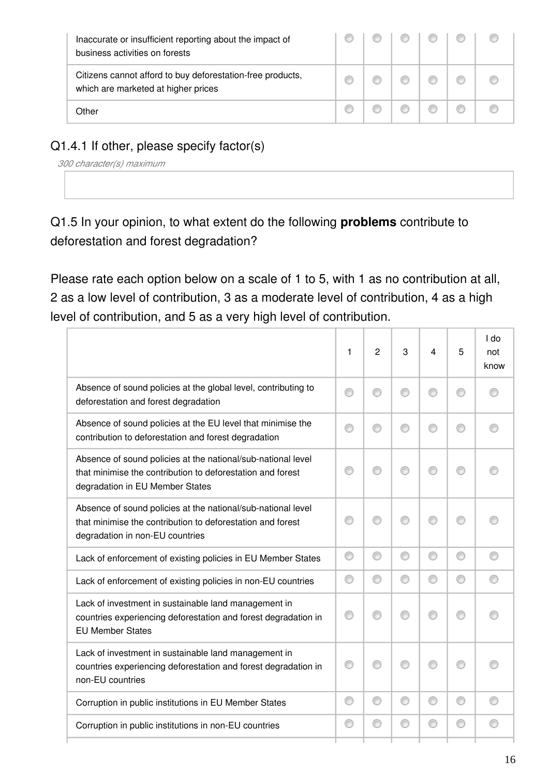| Inaccurate or insufficient reporting about the impact of<br>business activities on forests        |  |  |  |
|---------------------------------------------------------------------------------------------------|--|--|--|
| Citizens cannot afford to buy deforestation-free products,<br>which are marketed at higher prices |  |  |  |
| Other                                                                                             |  |  |  |

## Q1.4.1 If other, please specify factor(s)

*300 character(s) maximum*

Q1.5 In your opinion, to what extent do the following **problems** contribute to deforestation and forest degradation?

|                                                                                                                                                               | 1 | $\overline{c}$ | 3 | 4 | 5 | I do<br>not<br>know |
|---------------------------------------------------------------------------------------------------------------------------------------------------------------|---|----------------|---|---|---|---------------------|
| Absence of sound policies at the global level, contributing to<br>deforestation and forest degradation                                                        | ⋒ | ◎              |   |   | ⊙ |                     |
| Absence of sound policies at the EU level that minimise the<br>contribution to deforestation and forest degradation                                           |   | ⋒              |   |   | ⊙ |                     |
| Absence of sound policies at the national/sub-national level<br>that minimise the contribution to deforestation and forest<br>degradation in EU Member States |   | ⋒              |   |   | ∩ |                     |
| Absence of sound policies at the national/sub-national level<br>that minimise the contribution to deforestation and forest<br>degradation in non-EU countries |   |                |   |   | ∩ |                     |
| Lack of enforcement of existing policies in EU Member States                                                                                                  | ⊙ | ◎              | ⊙ | ⊙ | ⊙ | ∩                   |
| Lack of enforcement of existing policies in non-EU countries                                                                                                  | ⊙ | ⊙              | ⊙ | ⊙ | ⊙ |                     |
| Lack of investment in sustainable land management in<br>countries experiencing deforestation and forest degradation in<br><b>EU Member States</b>             |   | ⋒              | ∩ |   | ⊙ |                     |
| Lack of investment in sustainable land management in<br>countries experiencing deforestation and forest degradation in<br>non-EU countries                    |   | ⋒              |   |   | ∩ |                     |
| Corruption in public institutions in EU Member States                                                                                                         | ∩ | ⊙              | ⊙ | ◎ | ⊙ |                     |
| Corruption in public institutions in non-EU countries                                                                                                         | ⊙ | ◎              | ⊙ | ◎ | ⊙ |                     |
|                                                                                                                                                               |   |                |   |   |   |                     |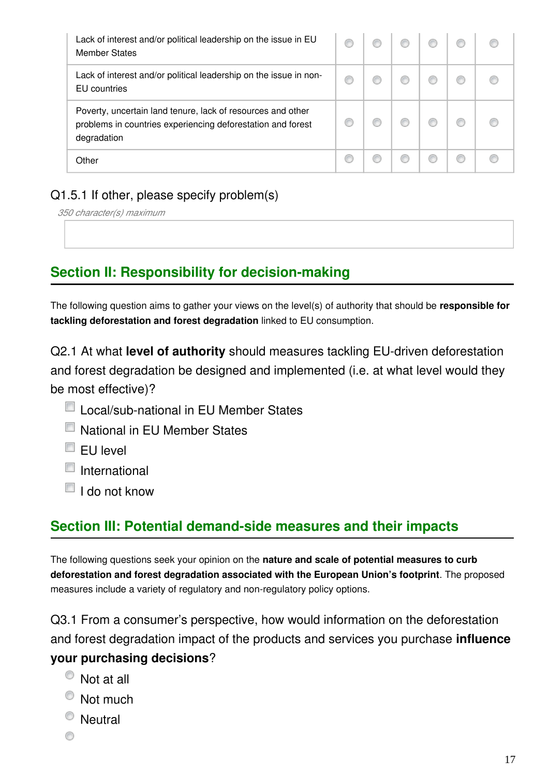| Lack of interest and/or political leadership on the issue in EU<br><b>Member States</b>                                                   |  |  |  |
|-------------------------------------------------------------------------------------------------------------------------------------------|--|--|--|
| Lack of interest and/or political leadership on the issue in non-<br>EU countries                                                         |  |  |  |
| Poverty, uncertain land tenure, lack of resources and other<br>problems in countries experiencing deforestation and forest<br>degradation |  |  |  |
| Other                                                                                                                                     |  |  |  |

#### Q1.5.1 If other, please specify problem(s)

*350 character(s) maximum*

# **Section II: Responsibility for decision-making**

The following question aims to gather your views on the level(s) of authority that should be **responsible for tackling deforestation and forest degradation** linked to EU consumption.

Q2.1 At what **level of authority** should measures tackling EU-driven deforestation and forest degradation be designed and implemented (i.e. at what level would they be most effective)?

- Local/sub-national in EU Member States
- National in EU Member States
- $\Box$  EU level
- $\blacksquare$  International
- $\blacksquare$  I do not know

# **Section III: Potential demand-side measures and their impacts**

The following questions seek your opinion on the **nature and scale of potential measures to curb deforestation and forest degradation associated with the European Union's footprint**. The proposed measures include a variety of regulatory and non-regulatory policy options.

Q3.1 From a consumer's perspective, how would information on the deforestation and forest degradation impact of the products and services you purchase **influence your purchasing decisions**?

- Not at all
- Not much
- <sup>O</sup> Neutral
- ⊙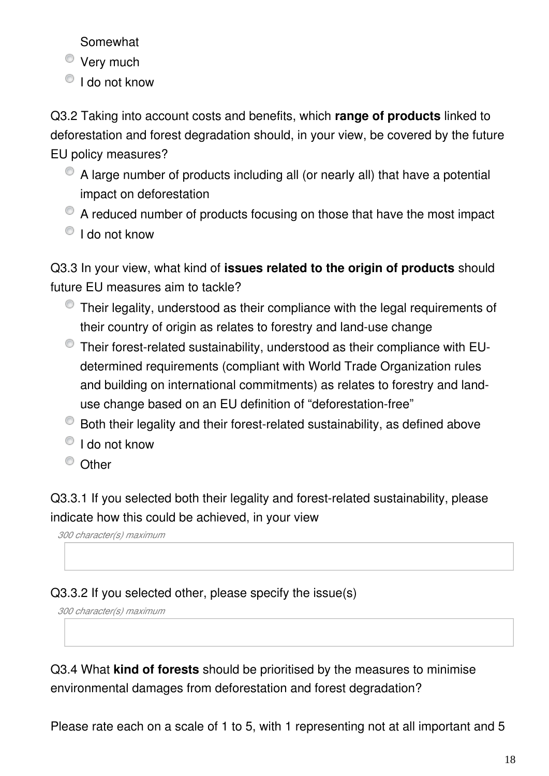Somewhat

- **Very much**
- $\bullet$  I do not know

Q3.2 Taking into account costs and benefits, which **range of products** linked to deforestation and forest degradation should, in your view, be covered by the future EU policy measures?

- A large number of products including all (or nearly all) that have a potential impact on deforestation
- A reduced number of products focusing on those that have the most impact  $\bullet$  I do not know

Q3.3 In your view, what kind of **issues related to the origin of products** should future EU measures aim to tackle?

- Their legality, understood as their compliance with the legal requirements of their country of origin as relates to forestry and land-use change
- Their forest-related sustainability, understood as their compliance with EUdetermined requirements (compliant with World Trade Organization rules and building on international commitments) as relates to forestry and landuse change based on an EU definition of "deforestation-free"
- Both their legality and their forest-related sustainability, as defined above
- $\bullet$  I do not know
- <sup>O</sup> Other

Q3.3.1 If you selected both their legality and forest-related sustainability, please indicate how this could be achieved, in your view

*300 character(s) maximum*

Q3.3.2 If you selected other, please specify the issue(s)

*300 character(s) maximum*

Q3.4 What **kind of forests** should be prioritised by the measures to minimise environmental damages from deforestation and forest degradation?

Please rate each on a scale of 1 to 5, with 1 representing not at all important and 5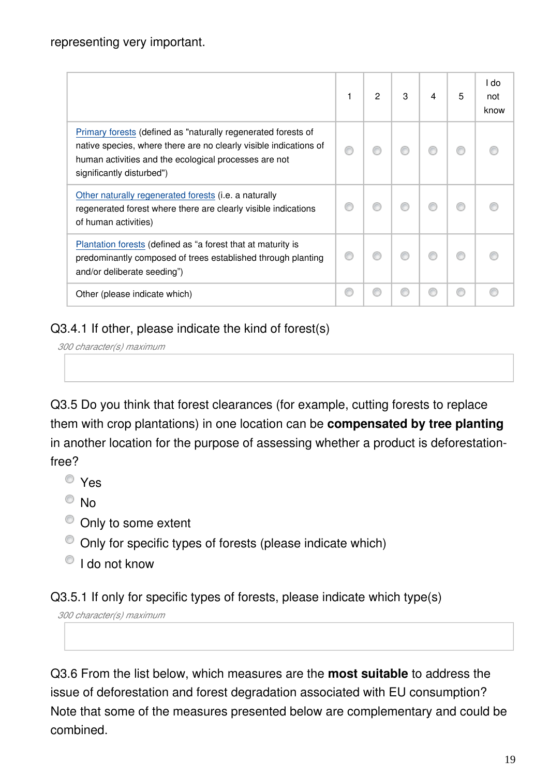|                                                                                                                                                                                                                          | 2 | 3 | 4 | 5 | l do<br>not<br>know |
|--------------------------------------------------------------------------------------------------------------------------------------------------------------------------------------------------------------------------|---|---|---|---|---------------------|
| Primary forests (defined as "naturally regenerated forests of<br>native species, where there are no clearly visible indications of<br>human activities and the ecological processes are not<br>significantly disturbed") |   |   |   |   |                     |
| Other naturally regenerated forests (i.e. a naturally<br>regenerated forest where there are clearly visible indications<br>of human activities)                                                                          |   |   |   |   |                     |
| Plantation forests (defined as "a forest that at maturity is<br>predominantly composed of trees established through planting<br>and/or deliberate seeding")                                                              |   |   |   |   |                     |
| Other (please indicate which)                                                                                                                                                                                            |   |   |   |   |                     |

#### Q3.4.1 If other, please indicate the kind of forest(s)

```
300 character(s) maximum
```
Q3.5 Do you think that forest clearances (for example, cutting forests to replace them with crop plantations) in one location can be **compensated by tree planting** in another location for the purpose of assessing whether a product is deforestationfree?

- Yes
- <sup>O</sup>No
- $\bullet$  Only to some extent
- Only for specific types of forests (please indicate which)
- <sup>O</sup> I do not know

Q3.5.1 If only for specific types of forests, please indicate which type(s)

*300 character(s) maximum*

Q3.6 From the list below, which measures are the **most suitable** to address the issue of deforestation and forest degradation associated with EU consumption? Note that some of the measures presented below are complementary and could be combined.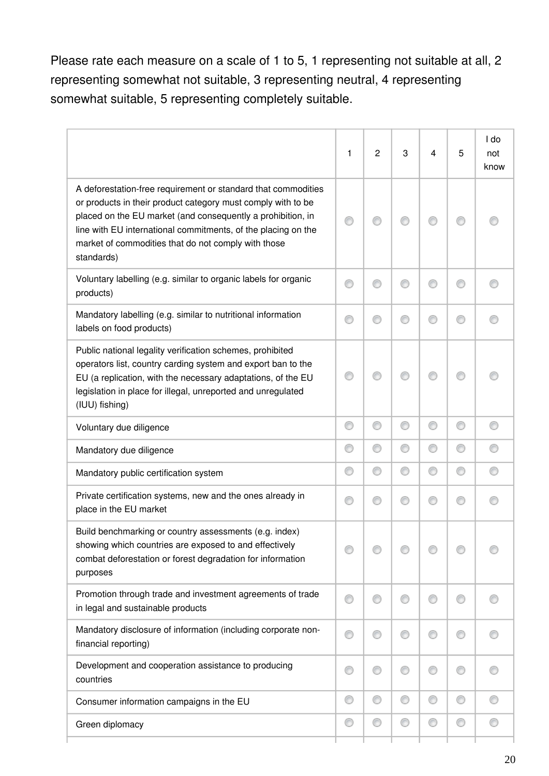Please rate each measure on a scale of 1 to 5, 1 representing not suitable at all, 2 representing somewhat not suitable, 3 representing neutral, 4 representing somewhat suitable, 5 representing completely suitable.

|                                                                                                                                                                                                                                                                                                                                    | 1 | $\mathbf{2}$ | 3 | 4 | 5 | I do<br>not<br>know |
|------------------------------------------------------------------------------------------------------------------------------------------------------------------------------------------------------------------------------------------------------------------------------------------------------------------------------------|---|--------------|---|---|---|---------------------|
| A deforestation-free requirement or standard that commodities<br>or products in their product category must comply with to be<br>placed on the EU market (and consequently a prohibition, in<br>line with EU international commitments, of the placing on the<br>market of commodities that do not comply with those<br>standards) |   |              |   |   |   |                     |
| Voluntary labelling (e.g. similar to organic labels for organic<br>products)                                                                                                                                                                                                                                                       | ⊙ | €            | ◎ | ⋒ | € |                     |
| Mandatory labelling (e.g. similar to nutritional information<br>labels on food products)                                                                                                                                                                                                                                           | ∩ | €            | € | ∩ | € |                     |
| Public national legality verification schemes, prohibited<br>operators list, country carding system and export ban to the<br>EU (a replication, with the necessary adaptations, of the EU<br>legislation in place for illegal, unreported and unregulated<br>(IUU) fishing)                                                        |   |              |   |   |   |                     |
| Voluntary due diligence                                                                                                                                                                                                                                                                                                            | ⊙ | 0            | O | ⊙ | ⊙ |                     |
| Mandatory due diligence                                                                                                                                                                                                                                                                                                            | ⊙ | O            | ⊙ | ⊙ | ⊙ |                     |
| Mandatory public certification system                                                                                                                                                                                                                                                                                              | ⊙ | ⊙            | ⊙ | ⊙ | ⊙ |                     |
| Private certification systems, new and the ones already in<br>place in the EU market                                                                                                                                                                                                                                               | ⊙ | ⊙            | 0 | ⊙ | O |                     |
| Build benchmarking or country assessments (e.g. index)<br>showing which countries are exposed to and effectively<br>combat deforestation or forest degradation for information<br>purposes                                                                                                                                         |   |              |   |   |   |                     |
| Promotion through trade and investment agreements of trade<br>in legal and sustainable products                                                                                                                                                                                                                                    | ⊙ | €            | ◎ | ∩ | € |                     |
| Mandatory disclosure of information (including corporate non-<br>financial reporting)                                                                                                                                                                                                                                              | ⊙ | ◎            | ◎ | ∩ | ◎ |                     |
| Development and cooperation assistance to producing<br>countries                                                                                                                                                                                                                                                                   | ⊙ | ⊙            | O | ⊙ | ◎ |                     |
| Consumer information campaigns in the EU                                                                                                                                                                                                                                                                                           | ⊙ | 0            | ⊙ | 0 | ⊙ |                     |
| Green diplomacy                                                                                                                                                                                                                                                                                                                    | ⊙ | 0            | ⊙ | 0 | ⊙ |                     |
|                                                                                                                                                                                                                                                                                                                                    |   |              |   |   |   |                     |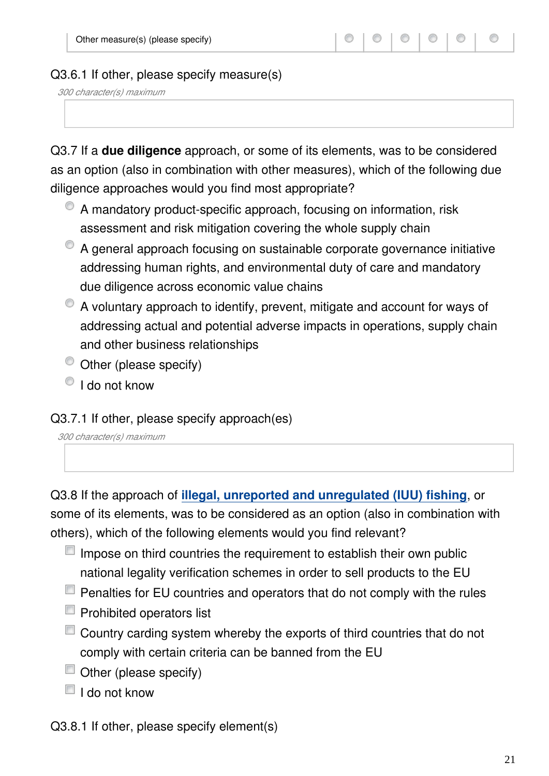#### Q3.6.1 If other, please specify measure(s)

*300 character(s) maximum*

Q3.7 If a **due diligence** approach, or some of its elements, was to be considered as an option (also in combination with other measures), which of the following due diligence approaches would you find most appropriate?

- A mandatory product-specific approach, focusing on information, risk assessment and risk mitigation covering the whole supply chain
- A general approach focusing on sustainable corporate governance initiative addressing human rights, and environmental duty of care and mandatory due diligence across economic value chains
- A voluntary approach to identify, prevent, mitigate and account for ways of addressing actual and potential adverse impacts in operations, supply chain and other business relationships
- $\bullet$  Other (please specify)
- $\bigcirc$  I do not know

#### Q3.7.1 If other, please specify approach(es)

*300 character(s) maximum*

Q3.8 If the approach of **[illegal, unreported and unregulated \(IUU\) fishing](https://ec.europa.eu/fisheries/cfp/illegal_fishing_en)**, or some of its elements, was to be considered as an option (also in combination with others), which of the following elements would you find relevant?

- $\Box$  Impose on third countries the requirement to establish their own public national legality verification schemes in order to sell products to the EU
- $\Box$  Penalties for EU countries and operators that do not comply with the rules
- $\blacksquare$  Prohibited operators list
- Country carding system whereby the exports of third countries that do not comply with certain criteria can be banned from the EU
- Other (please specify)
- $\Box$  I do not know

Q3.8.1 If other, please specify element(s)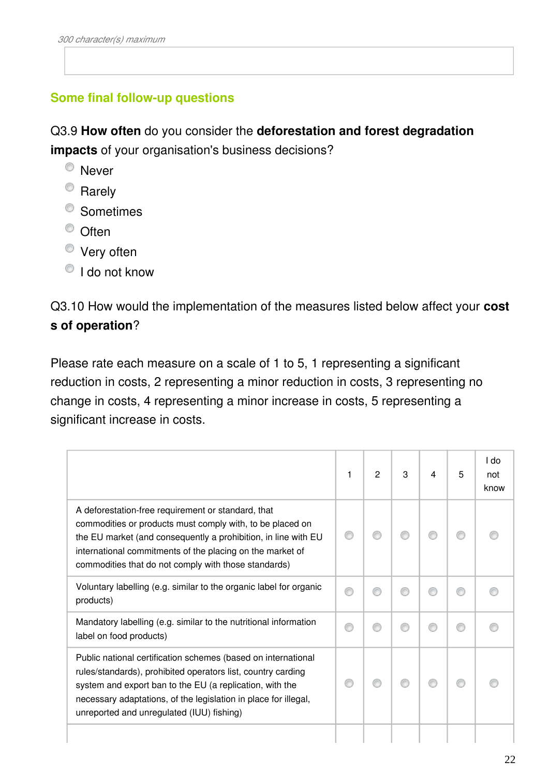#### **Some final follow-up questions**

Q3.9 **How often** do you consider the **deforestation and forest degradation impacts** of your organisation's business decisions?

- <sup>O</sup> Never
- <sup>O</sup> Rarely
- <sup>O</sup> Sometimes
- <sup>O</sup> Often
- Very often
- <sup>O</sup> I do not know

Q3.10 How would the implementation of the measures listed below affect your **cost s of operation**?

Please rate each measure on a scale of 1 to 5, 1 representing a significant reduction in costs, 2 representing a minor reduction in costs, 3 representing no change in costs, 4 representing a minor increase in costs, 5 representing a significant increase in costs.

|                                                                                                                                                                                                                                                                                                           | 1 | $\overline{2}$ | 3 | 4 | 5 | I do<br>not<br>know |
|-----------------------------------------------------------------------------------------------------------------------------------------------------------------------------------------------------------------------------------------------------------------------------------------------------------|---|----------------|---|---|---|---------------------|
| A deforestation-free requirement or standard, that<br>commodities or products must comply with, to be placed on<br>the EU market (and consequently a prohibition, in line with EU<br>international commitments of the placing on the market of<br>commodities that do not comply with those standards)    |   |                |   |   |   |                     |
| Voluntary labelling (e.g. similar to the organic label for organic<br>products)                                                                                                                                                                                                                           |   |                |   |   |   |                     |
| Mandatory labelling (e.g. similar to the nutritional information<br>label on food products)                                                                                                                                                                                                               |   | A              |   |   |   |                     |
| Public national certification schemes (based on international<br>rules/standards), prohibited operators list, country carding<br>system and export ban to the EU (a replication, with the<br>necessary adaptations, of the legislation in place for illegal,<br>unreported and unregulated (IUU) fishing) |   |                |   |   |   |                     |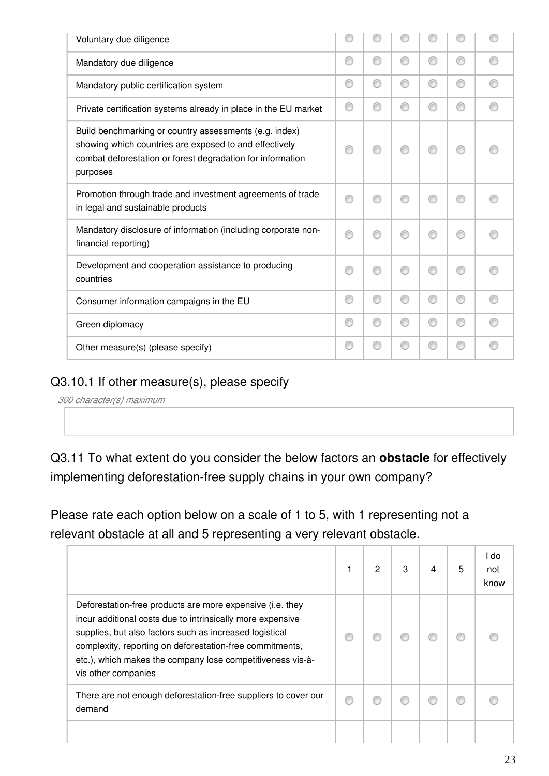| Voluntary due diligence                                                                                                                                                                    |   |   |   |   |   |  |
|--------------------------------------------------------------------------------------------------------------------------------------------------------------------------------------------|---|---|---|---|---|--|
| Mandatory due diligence                                                                                                                                                                    | ⋒ | ⋒ | € | ⋒ | ∩ |  |
| Mandatory public certification system                                                                                                                                                      | ⋒ | ⊙ | € | ⋒ | ⊙ |  |
| Private certification systems already in place in the EU market                                                                                                                            | ∩ | ∩ | ⋒ |   | ∩ |  |
| Build benchmarking or country assessments (e.g. index)<br>showing which countries are exposed to and effectively<br>combat deforestation or forest degradation for information<br>purposes |   | ⋒ |   |   | ⋒ |  |
| Promotion through trade and investment agreements of trade<br>in legal and sustainable products                                                                                            |   |   |   |   |   |  |
| Mandatory disclosure of information (including corporate non-<br>financial reporting)                                                                                                      |   | ⋒ |   |   | ⋒ |  |
| Development and cooperation assistance to producing<br>countries                                                                                                                           |   | ⋒ |   |   | ⋒ |  |
| Consumer information campaigns in the EU                                                                                                                                                   | ⋒ | ⊙ | € |   | ⊙ |  |
| Green diplomacy                                                                                                                                                                            | ∩ | ⊙ |   | ⋒ | ⊙ |  |
| Other measure(s) (please specify)                                                                                                                                                          | € | ⋒ |   |   | ⊙ |  |

#### Q3.10.1 If other measure(s), please specify

*300 character(s) maximum*

Q3.11 To what extent do you consider the below factors an **obstacle** for effectively implementing deforestation-free supply chains in your own company?

Please rate each option below on a scale of 1 to 5, with 1 representing not a relevant obstacle at all and 5 representing a very relevant obstacle.

|                                                                                                                                                                                                                                                                                                                                     | 2 | 3 | 4 | 5 | I do<br>not<br>know |
|-------------------------------------------------------------------------------------------------------------------------------------------------------------------------------------------------------------------------------------------------------------------------------------------------------------------------------------|---|---|---|---|---------------------|
| Deforestation-free products are more expensive (i.e. they<br>incur additional costs due to intrinsically more expensive<br>supplies, but also factors such as increased logistical<br>complexity, reporting on deforestation-free commitments,<br>etc.), which makes the company lose competitiveness vis-à-<br>vis other companies |   |   |   |   |                     |
| There are not enough deforestation-free suppliers to cover our<br>demand                                                                                                                                                                                                                                                            |   |   |   |   |                     |
|                                                                                                                                                                                                                                                                                                                                     |   |   |   |   |                     |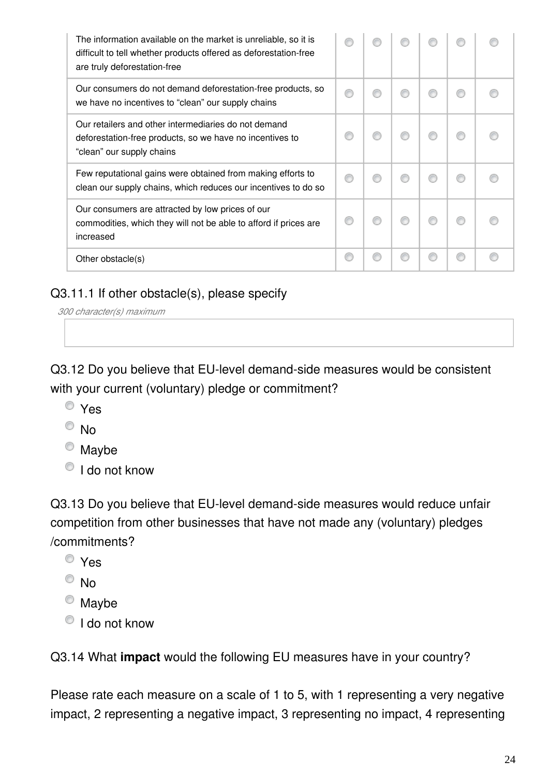| The information available on the market is unreliable, so it is<br>difficult to tell whether products offered as deforestation-free<br>are truly deforestation-free |  |  |   |  |
|---------------------------------------------------------------------------------------------------------------------------------------------------------------------|--|--|---|--|
| Our consumers do not demand deforestation-free products, so<br>we have no incentives to "clean" our supply chains                                                   |  |  | ⋒ |  |
| Our retailers and other intermediaries do not demand<br>deforestation-free products, so we have no incentives to<br>"clean" our supply chains                       |  |  |   |  |
| Few reputational gains were obtained from making efforts to<br>clean our supply chains, which reduces our incentives to do so                                       |  |  | € |  |
| Our consumers are attracted by low prices of our<br>commodities, which they will not be able to afford if prices are<br>increased                                   |  |  |   |  |
| Other obstacle(s)                                                                                                                                                   |  |  | ⋒ |  |

#### Q3.11.1 If other obstacle(s), please specify

*300 character(s) maximum*

Q3.12 Do you believe that EU-level demand-side measures would be consistent with your current (voluntary) pledge or commitment?

- Yes
- $\odot$  No
- $^{\circledcirc}$  Maybe
- $\bigcirc$  I do not know

Q3.13 Do you believe that EU-level demand-side measures would reduce unfair competition from other businesses that have not made any (voluntary) pledges /commitments?

- Yes
- $\odot$  No
- <sup>O</sup> Maybe
- <sup>O</sup> I do not know

Q3.14 What **impact** would the following EU measures have in your country?

Please rate each measure on a scale of 1 to 5, with 1 representing a very negative impact, 2 representing a negative impact, 3 representing no impact, 4 representing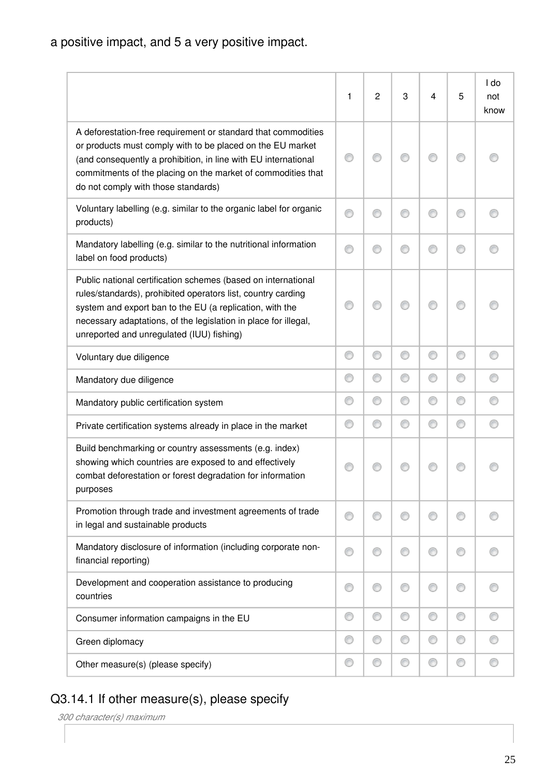a positive impact, and 5 a very positive impact.

|                                                                                                                                                                                                                                                                                                           | 1 | $\overline{c}$ | 3 | 4 | 5 | I do<br>not<br>know |
|-----------------------------------------------------------------------------------------------------------------------------------------------------------------------------------------------------------------------------------------------------------------------------------------------------------|---|----------------|---|---|---|---------------------|
| A deforestation-free requirement or standard that commodities<br>or products must comply with to be placed on the EU market<br>(and consequently a prohibition, in line with EU international<br>commitments of the placing on the market of commodities that<br>do not comply with those standards)      |   |                |   |   | ∩ |                     |
| Voluntary labelling (e.g. similar to the organic label for organic<br>products)                                                                                                                                                                                                                           |   |                |   |   | ⋒ |                     |
| Mandatory labelling (e.g. similar to the nutritional information<br>label on food products)                                                                                                                                                                                                               | O |                |   |   | ⊙ |                     |
| Public national certification schemes (based on international<br>rules/standards), prohibited operators list, country carding<br>system and export ban to the EU (a replication, with the<br>necessary adaptations, of the legislation in place for illegal,<br>unreported and unregulated (IUU) fishing) |   |                |   |   |   |                     |
| Voluntary due diligence                                                                                                                                                                                                                                                                                   | O | O              | ⊙ | ⊙ | O | ⊙                   |
| Mandatory due diligence                                                                                                                                                                                                                                                                                   | ⊙ | 0              | ⊙ | 0 | ⊙ |                     |
| Mandatory public certification system                                                                                                                                                                                                                                                                     | ⊙ | 0              | ⊙ | ⊙ | 0 |                     |
| Private certification systems already in place in the market                                                                                                                                                                                                                                              | ⊙ | ⊙              | ⊙ | ⊙ | ⊙ |                     |
| Build benchmarking or country assessments (e.g. index)<br>showing which countries are exposed to and effectively<br>combat deforestation or forest degradation for information<br>purposes                                                                                                                |   |                |   |   |   |                     |
| Promotion through trade and investment agreements of trade<br>in legal and sustainable products                                                                                                                                                                                                           | 0 | ⊙              | ⊙ | ⊙ | ⊙ |                     |
| Mandatory disclosure of information (including corporate non-<br>financial reporting)                                                                                                                                                                                                                     | ⊙ | ⊙              | ⊙ | ∩ | ⊙ |                     |
| Development and cooperation assistance to producing<br>countries                                                                                                                                                                                                                                          | ⊙ | 0              | ◎ |   | ⊙ |                     |
| Consumer information campaigns in the EU                                                                                                                                                                                                                                                                  | 0 | 0              | ⊙ | ⊙ | 0 |                     |
| Green diplomacy                                                                                                                                                                                                                                                                                           | ⊙ | ⊙              | ⊙ | 0 | ⊙ |                     |
| Other measure(s) (please specify)                                                                                                                                                                                                                                                                         | O | 0              | ⊙ | ⊙ | 0 |                     |

# Q3.14.1 If other measure(s), please specify

| 300 character(s) maximum |  |
|--------------------------|--|
|--------------------------|--|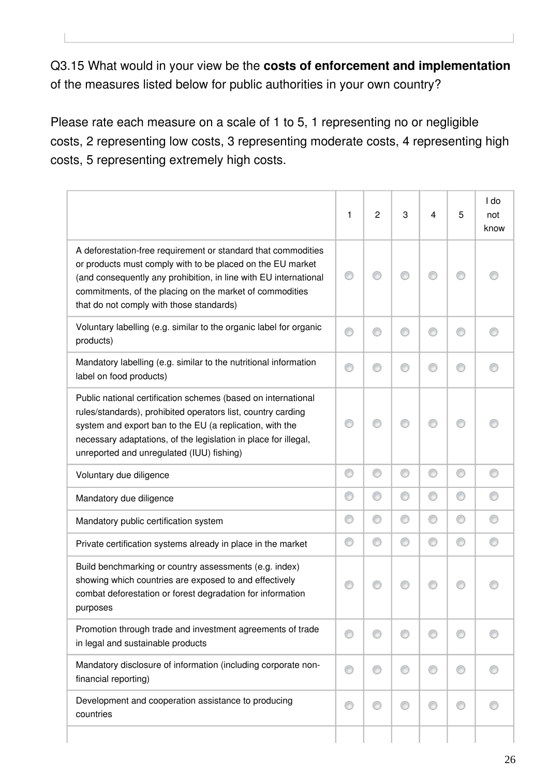Q3.15 What would in your view be the **costs of enforcement and implementation** of the measures listed below for public authorities in your own country?

Please rate each measure on a scale of 1 to 5, 1 representing no or negligible costs, 2 representing low costs, 3 representing moderate costs, 4 representing high costs, 5 representing extremely high costs.

|                                                                                                                                                                                                                                                                                                           | 1 | $\overline{c}$ | 3 | 4 | 5 | I do<br>not<br>know |
|-----------------------------------------------------------------------------------------------------------------------------------------------------------------------------------------------------------------------------------------------------------------------------------------------------------|---|----------------|---|---|---|---------------------|
| A deforestation-free requirement or standard that commodities<br>or products must comply with to be placed on the EU market<br>(and consequently any prohibition, in line with EU international<br>commitments, of the placing on the market of commodities<br>that do not comply with those standards)   |   |                |   |   |   |                     |
| Voluntary labelling (e.g. similar to the organic label for organic<br>products)                                                                                                                                                                                                                           | ⊙ | ◎              | C |   | ⊙ |                     |
| Mandatory labelling (e.g. similar to the nutritional information<br>label on food products)                                                                                                                                                                                                               |   | €              |   |   | ⊙ |                     |
| Public national certification schemes (based on international<br>rules/standards), prohibited operators list, country carding<br>system and export ban to the EU (a replication, with the<br>necessary adaptations, of the legislation in place for illegal,<br>unreported and unregulated (IUU) fishing) |   | ⋒              |   |   | ⊙ |                     |
| Voluntary due diligence                                                                                                                                                                                                                                                                                   | ⊙ | ⊙              | ⊙ | ⊙ | 0 |                     |
| Mandatory due diligence                                                                                                                                                                                                                                                                                   | ⊙ | O              | ⊙ | ⊙ | ⊙ |                     |
| Mandatory public certification system                                                                                                                                                                                                                                                                     | ⊙ | ⊙              | ⊙ | 0 | ⊙ |                     |
| Private certification systems already in place in the market                                                                                                                                                                                                                                              | ⊙ | ⊙              | ⊙ | ⊙ | 0 |                     |
| Build benchmarking or country assessments (e.g. index)<br>showing which countries are exposed to and effectively<br>combat deforestation or forest degradation for information<br>purposes                                                                                                                |   |                |   |   |   |                     |
| Promotion through trade and investment agreements of trade<br>in legal and sustainable products                                                                                                                                                                                                           |   | ⊙              | ⊙ |   | ⊙ |                     |
| Mandatory disclosure of information (including corporate non-<br>financial reporting)                                                                                                                                                                                                                     |   | ⊙              | ⊙ |   | ⊙ |                     |
| Development and cooperation assistance to producing<br>countries                                                                                                                                                                                                                                          |   | ⊙              | € |   | ⊙ |                     |
|                                                                                                                                                                                                                                                                                                           |   |                |   |   |   |                     |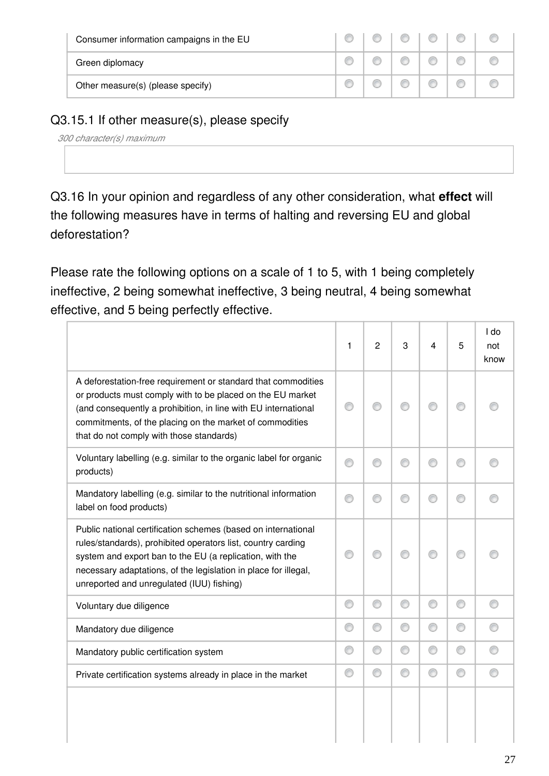| Consumer information campaigns in the EU |  |  |  |
|------------------------------------------|--|--|--|
| Green diplomacy                          |  |  |  |
| Other measure(s) (please specify)        |  |  |  |

#### Q3.15.1 If other measure(s), please specify

| 300 character(s) maximum |  |
|--------------------------|--|
|                          |  |

Q3.16 In your opinion and regardless of any other consideration, what **effect** will the following measures have in terms of halting and reversing EU and global deforestation?

Please rate the following options on a scale of 1 to 5, with 1 being completely ineffective, 2 being somewhat ineffective, 3 being neutral, 4 being somewhat effective, and 5 being perfectly effective.

|                                                                                                                                                                                                                                                                                                           | 1 | $\overline{2}$ | 3 | 4 | 5 | I do<br>not<br>know |
|-----------------------------------------------------------------------------------------------------------------------------------------------------------------------------------------------------------------------------------------------------------------------------------------------------------|---|----------------|---|---|---|---------------------|
| A deforestation-free requirement or standard that commodities<br>or products must comply with to be placed on the EU market<br>(and consequently a prohibition, in line with EU international<br>commitments, of the placing on the market of commodities<br>that do not comply with those standards)     |   | ∩              |   |   | ∩ |                     |
| Voluntary labelling (e.g. similar to the organic label for organic<br>products)                                                                                                                                                                                                                           | ⋒ | ⊙              | ⋒ |   | ∩ |                     |
| Mandatory labelling (e.g. similar to the nutritional information<br>label on food products)                                                                                                                                                                                                               | ⋒ | ⊙              | ⊙ |   | ⊙ |                     |
| Public national certification schemes (based on international<br>rules/standards), prohibited operators list, country carding<br>system and export ban to the EU (a replication, with the<br>necessary adaptations, of the legislation in place for illegal,<br>unreported and unregulated (IUU) fishing) |   | ∩              |   |   | ⊙ |                     |
| Voluntary due diligence                                                                                                                                                                                                                                                                                   | ⊙ | 0              | ⊙ | ⊙ | 0 | ∩                   |
| Mandatory due diligence                                                                                                                                                                                                                                                                                   | ⊙ | 0              | ⊙ | ⊙ | ⊙ |                     |
| Mandatory public certification system                                                                                                                                                                                                                                                                     | ⊙ | 0              | ⊙ | ⊙ | ⊙ |                     |
| Private certification systems already in place in the market                                                                                                                                                                                                                                              | ⊙ | 0              | ⊙ | ⊙ | ⊙ | ∩                   |
|                                                                                                                                                                                                                                                                                                           |   |                |   |   |   |                     |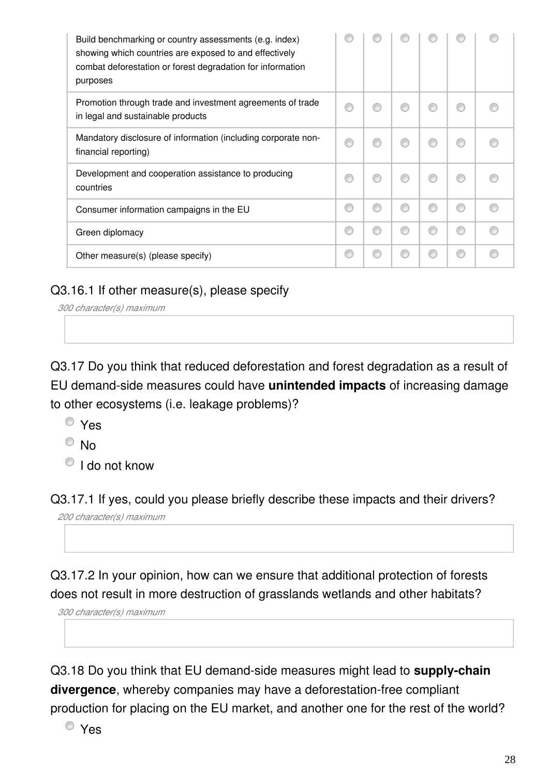| Build benchmarking or country assessments (e.g. index)<br>showing which countries are exposed to and effectively<br>combat deforestation or forest degradation for information<br>purposes |  |  |   |  |
|--------------------------------------------------------------------------------------------------------------------------------------------------------------------------------------------|--|--|---|--|
| Promotion through trade and investment agreements of trade<br>in legal and sustainable products                                                                                            |  |  |   |  |
| Mandatory disclosure of information (including corporate non-<br>financial reporting)                                                                                                      |  |  |   |  |
| Development and cooperation assistance to producing<br>countries                                                                                                                           |  |  |   |  |
| Consumer information campaigns in the EU                                                                                                                                                   |  |  | ⋒ |  |
| Green diplomacy                                                                                                                                                                            |  |  |   |  |
| Other measure(s) (please specify)                                                                                                                                                          |  |  |   |  |

#### Q3.16.1 If other measure(s), please specify

*300 character(s) maximum*

Q3.17 Do you think that reduced deforestation and forest degradation as a result of EU demand-side measures could have **unintended impacts** of increasing damage to other ecosystems (i.e. leakage problems)?

- Yes
- $\circ$  No
- $\bigcirc$  I do not know

Q3.17.1 If yes, could you please briefly describe these impacts and their drivers? *200 character(s) maximum*

Q3.17.2 In your opinion, how can we ensure that additional protection of forests does not result in more destruction of grasslands wetlands and other habitats?

*300 character(s) maximum*

Q3.18 Do you think that EU demand-side measures might lead to **supply-chain divergence**, whereby companies may have a deforestation-free compliant production for placing on the EU market, and another one for the rest of the world?

Yes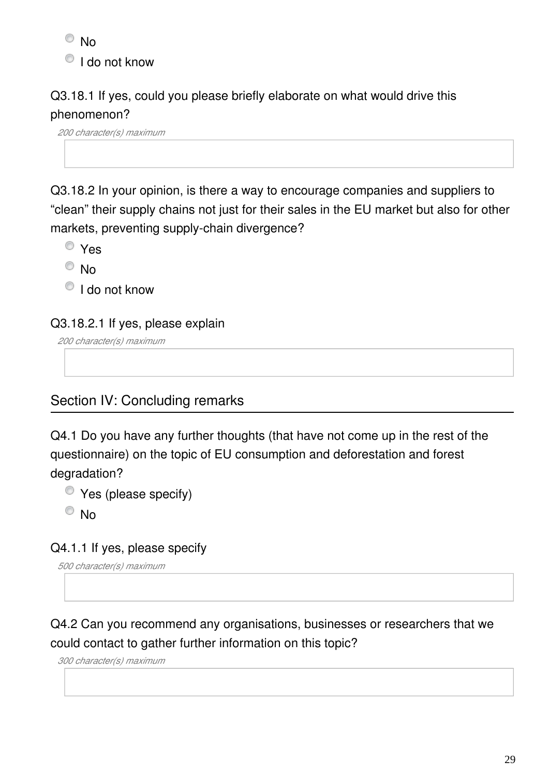<sup>O</sup>No

<sup>O</sup> I do not know

## Q3.18.1 If yes, could you please briefly elaborate on what would drive this phenomenon?

*200 character(s) maximum*

Q3.18.2 In your opinion, is there a way to encourage companies and suppliers to "clean" their supply chains not just for their sales in the EU market but also for other markets, preventing supply-chain divergence?

Yes

 $\odot$  No

 $\bigcirc$  I do not know

Q3.18.2.1 If yes, please explain

*200 character(s) maximum*

## Section IV: Concluding remarks

Q4.1 Do you have any further thoughts (that have not come up in the rest of the questionnaire) on the topic of EU consumption and deforestation and forest degradation?

Yes (please specify)

 $\odot$  No

#### Q4.1.1 If yes, please specify

*500 character(s) maximum*

# Q4.2 Can you recommend any organisations, businesses or researchers that we could contact to gather further information on this topic?

*300 character(s) maximum*